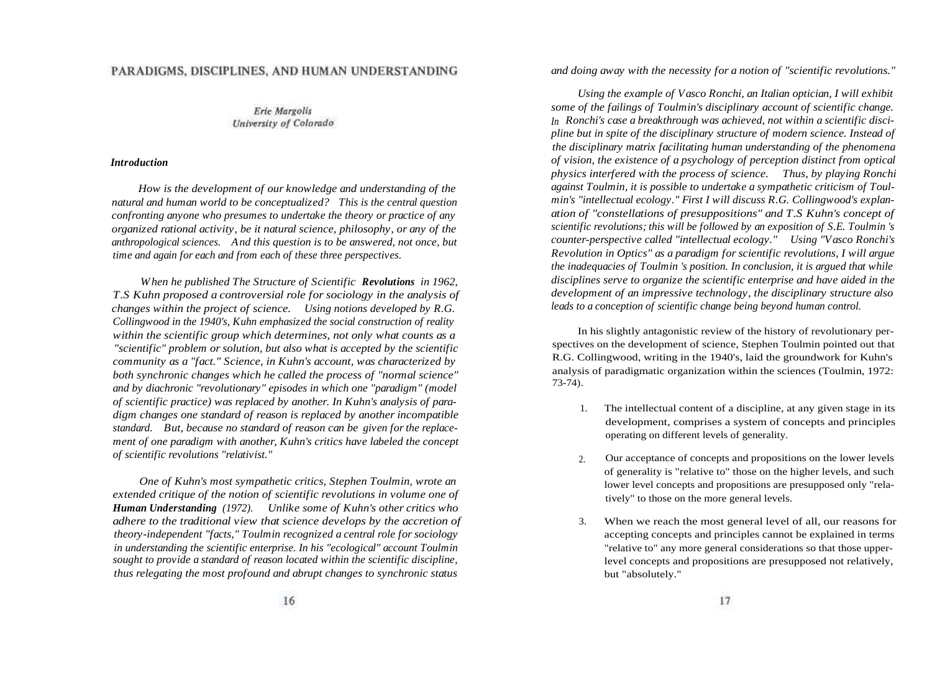# PARADIGMS, DISCIPLINES, AND HUMAN UNDERSTANDING

**Eric Margolis** University of Colorado

### *Introduction*

*How is the development of our knowledge and understanding of the natural and human world to be conceptualized? This is the central question confronting anyone who presumes to undertake the theory or practice of any organized rational activity, be it natural science, philosophy, or any of the anthropological sciences. And this question is to be answered, not once, but time and again for each and from each of these three perspectives.*

*When he published The Structure of Scientific Revolutions in 1962, T.S Kuhn proposed a controversial role for sociology in the analysis of changes within the project of science. Using notions developed by R.G. Collingwood in the 1940's, Kuhn emphasized the social construction of reality within the scientific group which determines, not only what counts as a "scientific" problem or solution, but also what is accepted by the scientific community as a "fact." Science, in Kuhn's account, was characterized by both synchronic changes which he called the process of "normal science" and by diachronic "revolutionary" episodes in which one "paradigm" (model of scientific practice) was replaced by another. In Kuhn's analysis of paradigm changes one standard of reason is replaced by another incompatible standard. But, because no standard of reason can be given for the replacement of one paradigm with another, Kuhn's critics have labeled the concept of scientific revolutions "relativist."*

*One of Kuhn's most sympathetic critics, Stephen Toulmin, wrote an extended critique of the notion of scientific revolutions in volume one of Human Understanding (1972). Unlike some of Kuhn's other critics who adhere to the traditional view that science develops by the accretion of theory-independent "facts," Toulmin recognized a central role for sociology in understanding the scientific enterprise. In his "ecological" account Toulmin sought to provide a standard of reason located within the scientific discipline, thus relegating the most profound and abrupt changes to synchronic status*

*and doing away with the necessity for a notion of "scientific revolutions."*

*Using the example of Vasco Ronchi, an Italian optician, I will exhibit some of the failings of Toulmin's disciplinary account of scientific change. In Ronchi's case a breakthrough was achieved, not within a scientific discipline but in spite of the disciplinary structure of modern science. Instead of the disciplinary matrix facilitating human understanding of the phenomena of vision, the existence of a psychology of perception distinct from optical physics interfered with the process of science. Thus, by playing Ronchi against Toulmin, it is possible to undertake a sympathetic criticism of Toulmin's "intellectual ecology." First I will discuss R.G. Collingwood's explanation of "constellations of presuppositions" and T.S Kuhn's concept of scientific revolutions; this will be followed by an exposition of S.E. Toulmin 's counter-perspective called "intellectual ecology." Using "Vasco Ronchi's Revolution in Optics" as a paradigm for scientific revolutions, I will argue the inadequacies of Toulmin 's position. In conclusion, it is argued that while disciplines serve to organize the scientific enterprise and have aided in the development of an impressive technology, the disciplinary structure also leads to a conception of scientific change being beyond human control.*

In his slightly antagonistic review of the history of revolutionary perspectives on the development of science, Stephen Toulmin pointed out that R.G. Collingwood, writing in the 1940's, laid the groundwork for Kuhn's analysis of paradigmatic organization within the sciences (Toulmin, 1972: 73-74).

- 1. The intellectual content of a discipline, at any given stage in its development, comprises a system of concepts and principles operating on different levels of generality.
- 2. Our acceptance of concepts and propositions on the lower levels of generality is "relative to" those on the higher levels, and such lower level concepts and propositions are presupposed only "relatively" to those on the more general levels.
- 3. When we reach the most general level of all, our reasons for accepting concepts and principles cannot be explained in terms "relative to" any more general considerations so that those upperlevel concepts and propositions are presupposed not relatively, but "absolutely."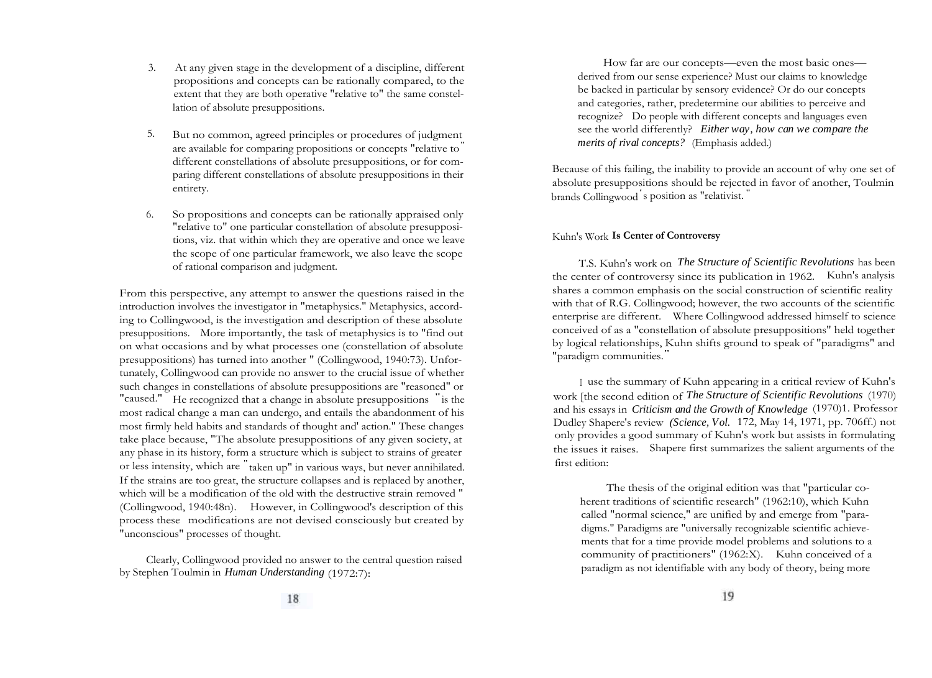- 3. At any given stage in the development of a discipline, different propositions and concepts can be rationally compared, to the extent that they are both operative "relative to" the same constellation of absolute presuppositions.
- 5. But no common, agreed principles or procedures of judgment are available for comparing propositions or concepts "relative to" different constellations of absolute presuppositions, or for comparing different constellations of absolute presuppositions in their entirety.
- 6. So propositions and concepts can be rationally appraised only "relative to" one particular constellation of absolute presuppositions, viz. that within which they are operative and once we leave the scope of one particular framework, we also leave the scope of rational comparison and judgment.

From this perspective, any attempt to answer the questions raised in the introduction involves the investigator in "metaphysics." Metaphysics, according to Collingwood, is the investigation and description of these absolute presuppositions. More importantly, the task of metaphysics is to "find out on what occasions and by what processes one (constellation of absolute presuppositions) has turned into another " (Collingwood, 1940:73). Unfortunately, Collingwood can provide no answer to the crucial issue of whether such changes in constellations of absolute presuppositions are "reasoned" or "caused." He recognized that a change in absolute presuppositions " is the most radical change a man can undergo, and entails the abandonment of his most firmly held habits and standards of thought and' action." These changes take place because, "The absolute presuppositions of any given society, at any phase in its history, form a structure which is subject to strains of greater or less intensity, which are " taken up" in various ways, but never annihilated. If the strains are too great, the structure collapses and is replaced by another, which will be a modification of the old with the destructive strain removed " (Collingwood, 1940:48n). However, in Collingwood's description of this process these modifications are not devised consciously but created by "unconscious" processes of thought.

Clearly, Collingwood provided no answer to the central question raised by Stephen Toulmin in *Human Understanding* (1972:7):

How far are our concepts—even the most basic ones derived from our sense experience? Must our claims to knowledge be backed in particular by sensory evidence? Or do our concepts and categories, rather, predetermine our abilities to perceive and recognize? Do people with different concepts and languages even see the world differently? *Either way, how can we compare the merits of rival concepts?* (Emphasis added.)

Because of this failing, the inability to provide an account of why one set of absolute presuppositions should be rejected in favor of another, Toulmin brands Collingwood ' s position as "relativist. "

## Kuhn's Work **Is Center of Controversy**

T.S. Kuhn's work on *The Structure of Scientific Revolutions* has been the center of controversy since its publication in 1962. Kuhn's analysis shares a common emphasis on the social construction of scientific reality with that of R.G. Collingwood; however, the two accounts of the scientific enterprise are different. Where Collingwood addressed himself to science conceived of as a "constellation of absolute presuppositions" held together by logical relationships, Kuhn shifts ground to speak of "paradigms" and "paradigm communities."

<sup>I</sup> use the summary of Kuhn appearing in a critical review of Kuhn's work [the second edition of *The Structure of Scientific Revolutions* (1970) and his essays in *Criticism and the Growth of Knowledge* (1970)1. Professor Dudley Shapere's review *(Science, Vol.* 172, May 14, 1971, pp. 706ff.) not only provides a good summary of Kuhn's work but assists in formulating the issues it raises. Shapere first summarizes the salient arguments of the first edition:

The thesis of the original edition was that "particular coherent traditions of scientific research" (1962:10), which Kuhn called "normal science," are unified by and emerge from "paradigms." Paradigms are "universally recognizable scientific achievements that for a time provide model problems and solutions to a community of practitioners" (1962:X). Kuhn conceived of a paradigm as not identifiable with any body of theory, being more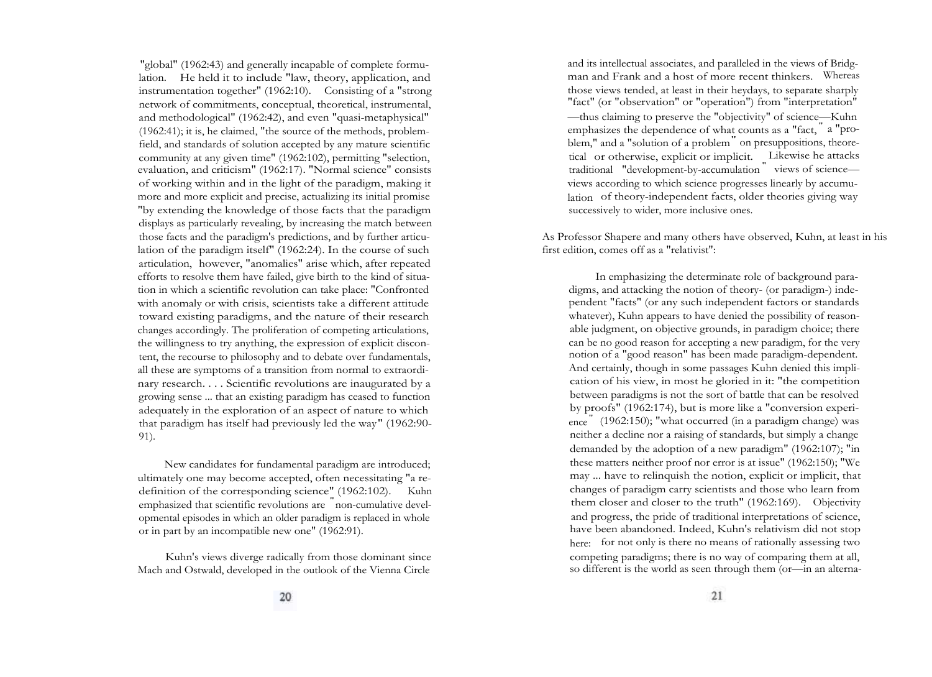"global" (1962:43) and generally incapable of complete formulation. He held it to include "law, theory, application, and instrumentation together" (1962:10). Consisting of a "strong network of commitments, conceptual, theoretical, instrumental, and methodological" (1962:42), and even "quasi-metaphysical" (1962:41); it is, he claimed, "the source of the methods, problemfield, and standards of solution accepted by any mature scientific community at any given time" (1962:102), permitting "selection, evaluation, and criticism" (1962:17). "Normal science" consists of working within and in the light of the paradigm, making it more and more explicit and precise, actualizing its initial promise "by extending the knowledge of those facts that the paradigm displays as particularly revealing, by increasing the match between those facts and the paradigm's predictions, and by further articulation of the paradigm itself" (1962:24). In the course of such articulation, however, "anomalies" arise which, after repeated efforts to resolve them have failed, give birth to the kind of situation in which a scientific revolution can take place: "Confronted with anomaly or with crisis, scientists take a different attitude toward existing paradigms, and the nature of their research changes accordingly. The proliferation of competing articulations, the willingness to try anything, the expression of explicit discontent, the recourse to philosophy and to debate over fundamentals, all these are symptoms of a transition from normal to extraordinary research. . . . Scientific revolutions are inaugurated by a growing sense ... that an existing paradigm has ceased to function adequately in the exploration of an aspect of nature to which that paradigm has itself had previously led the way" (1962:90- 91).

New candidates for fundamental paradigm are introduced; ultimately one may become accepted, often necessitating "a redefinition of the corresponding science" (1962:102). Kuhn emmasized that scientific revolutions are "non-cumulative developmental episodes in which an older paradigm is replaced in whole or in part by an incompatible new one" (1962:91).

Kuhn's views diverge radically from those dominant since Mach and Ostwald, developed in the outlook of the Vienna Circle

and its intellectual associates, and paralleled in the views of Bridgman and Frank and a host of more recent thinkers. Whereas those views tended, at least in their heydays, to separate sharply "fact" (or "observation" or "operation") from "interpretation" —thus claiming to preserve the "objectivity" of science—Kuhn emphasizes the dependence of what counts as a "fact, " a "problem," and a "solution of a problem" on presuppositions, theoretical or otherwise, explicit or implicit. Likewise he attacks traditional "development-by-accumulation " views of science views according to which science progresses linearly by accumulation of theory-independent facts, older theories giving way successively to wider, more inclusive ones.

As Professor Shapere and many others have observed, Kuhn, at least in his first edition, comes off as a "relativist":

In emphasizing the determinate role of background paradigms, and attacking the notion of theory- (or paradigm-) independent "facts" (or any such independent factors or standards whatever), Kuhn appears to have denied the possibility of reasonable judgment, on objective grounds, in paradigm choice; there can be no good reason for accepting a new paradigm, for the very notion of a "good reason" has been made paradigm-dependent. And certainly, though in some passages Kuhn denied this implication of his view, in most he gloried in it: "the competition between paradigms is not the sort of battle that can be resolved by proofs" (1962:174), but is more like a "conversion experience" (1962:150); "what occurred (in a paradigm change) was neither a decline nor a raising of standards, but simply a change demanded by the adoption of a new paradigm" (1962:107); "in these matters neither proof nor error is at issue" (1962:150); "We may ... have to relinquish the notion, explicit or implicit, that changes of paradigm carry scientists and those who learn from them closer and closer to the truth" (1962:169). Objectivity and progress, the pride of traditional interpretations of science, have been abandoned. Indeed, Kuhn's relativism did not stop here: for not only is there no means of rationally assessing two competing paradigms; there is no way of comparing them at all, so different is the world as seen through them (or—in an alterna-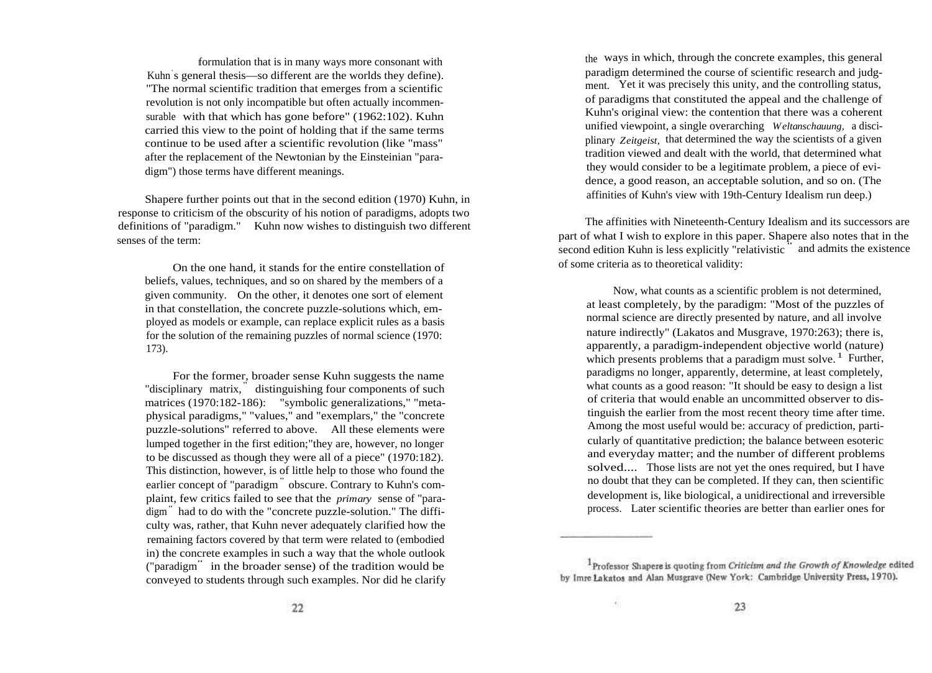formulation that is in many ways more consonant with Kuhn' s general thesis—so different are the worlds they define). "The normal scientific tradition that emerges from a scientific revolution is not only incompatible but often actually incommensurable with that which has gone before" (1962:102). Kuhn carried this view to the point of holding that if the same terms continue to be used after a scientific revolution (like "mass" after the replacement of the Newtonian by the Einsteinian "paradigm") those terms have different meanings.

Shapere further points out that in the second edition (1970) Kuhn, in response to criticism of the obscurity of his notion of paradigms, adopts two definitions of "paradigm." Kuhn now wishes to distinguish two different senses of the term:

On the one hand, it stands for the entire constellation of beliefs, values, techniques, and so on shared by the members of a given community. On the other, it denotes one sort of element in that constellation, the concrete puzzle-solutions which, employed as models or example, can replace explicit rules as a basis for the solution of the remaining puzzles of normal science (1970: 173).

For the former, broader sense Kuhn suggests the name "disciplinary matrix, " distinguishing four components of such matrices (1970:182-186): "symbolic generalizations," "metaphysical paradigms," "values," and "exemplars," the "concrete puzzle-solutions" referred to above. All these elements were lumped together in the first edition;"they are, however, no longer to be discussed as though they were all of a piece" (1970:182). This distinction, however, is of little help to those who found the earlier concept of "paradigm" obscure. Contrary to Kuhn's complaint, few critics failed to see that the *primary* sense of "paradigm" had to do with the "concrete puzzle-solution." The difficulty was, rather, that Kuhn never adequately clarified how the remaining factors covered by that term were related to (embodied in) the concrete examples in such a way that the whole outlook ("paradigm" in the broader sense) of the tradition would be conveyed to students through such examples. Nor did he clarify

the ways in which, through the concrete examples, this general paradigm determined the course of scientific research and judgment. Yet it was precisely this unity, and the controlling status, of paradigms that constituted the appeal and the challenge of Kuhn's original view: the contention that there was a coherent unified viewpoint, a single overarching *Weltanschauung,* a disciplinary *Zeitgeist,* that determined the way the scientists of a given tradition viewed and dealt with the world, that determined what they would consider to be a legitimate problem, a piece of evidence, a good reason, an acceptable solution, and so on. (The affinities of Kuhn's view with 19th-Century Idealism run deep.)

The affinities with Nineteenth-Century Idealism and its successors are part of what I wish to explore in this paper. Shapere also notes that in the second edition Kuhn is less explicitly "relativistic " and admits the existence of some criteria as to theoretical validity:

Now, what counts as a scientific problem is not determined, at least completely, by the paradigm: "Most of the puzzles of normal science are directly presented by nature, and all involve nature indirectly" (Lakatos and Musgrave, 1970:263); there is, apparently, a paradigm-independent objective world (nature) which presents problems that a paradigm must solve.<sup>1</sup> Further, paradigms no longer, apparently, determine, at least completely, what counts as a good reason: "It should be easy to design a list of criteria that would enable an uncommitted observer to distinguish the earlier from the most recent theory time after time. Among the most useful would be: accuracy of prediction, particularly of quantitative prediction; the balance between esoteric and everyday matter; and the number of different problems solved.... Those lists are not yet the ones required, but I have no doubt that they can be completed. If they can, then scientific development is, like biological, a unidirectional and irreversible process. Later scientific theories are better than earlier ones for

<sup>1</sup>Professor Shapere is quoting from Criticism and the Growth of Knowledge edited by Imre Lakatos and Alan Musgrave (New York: Cambridge University Press, 1970).

着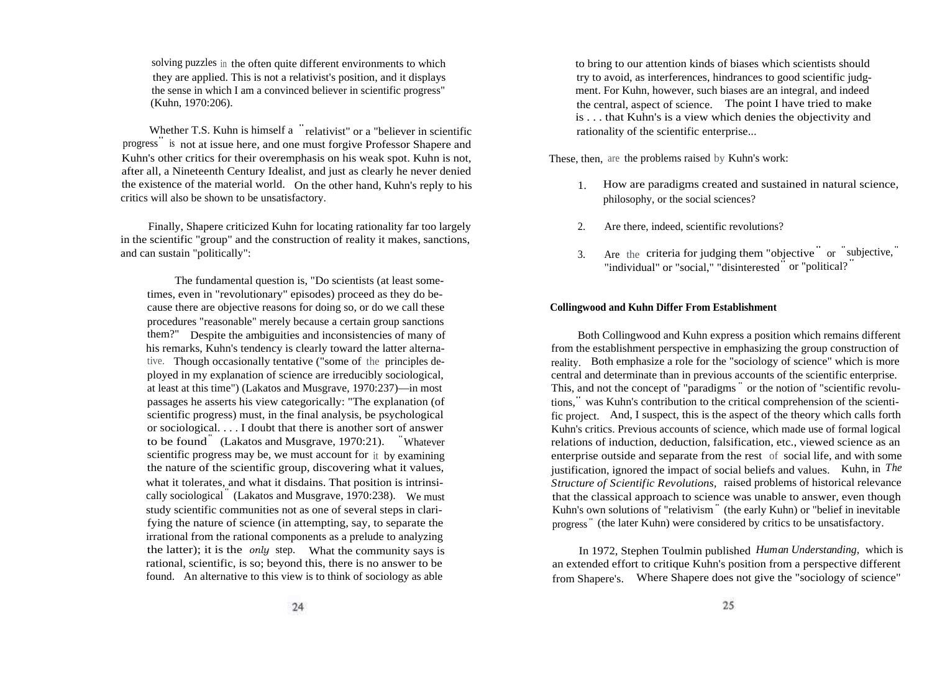solving puzzles in the often quite different environments to which they are applied. This is not a relativist's position, and it displays the sense in which I am a convinced believer in scientific progress" (Kuhn, 1970:206).

Whether T.S. Kuhn is himself a " relativist" or a "believer in scientific progress is not at issue here, and one must forgive Professor Shapere and progress Kuhn's other critics for their overemphasis on his weak spot. Kuhn is not, after all, a Nineteenth Century Idealist, and just as clearly he never denied the existence of the material world. On the other hand, Kuhn's reply to his critics will also be shown to be unsatisfactory.

Finally, Shapere criticized Kuhn for locating rationality far too largely in the scientific "group" and the construction of reality it makes, sanctions, and can sustain "politically":

The fundamental question is, "Do scientists (at least sometimes, even in "revolutionary" episodes) proceed as they do because there are objective reasons for doing so, or do we call these procedures "reasonable" merely because a certain group sanctions them?" Despite the ambiguities and inconsistencies of many of his remarks, Kuhn's tendency is clearly toward the latter alternative. Though occasionally tentative ("some of the principles deployed in my explanation of science are irreducibly sociological, at least at this time") (Lakatos and Musgrave, 1970:237)—in most passages he asserts his view categorically: "The explanation (of scientific progress) must, in the final analysis, be psychological or sociological. . . . I doubt that there is another sort of answer to be found" (Lakatos and Musgrave, 1970:21). "Whatever scientific progress may be, we must account for it by examining the nature of the scientific group, discovering what it values, what it tolerates, and what it disdains. That position is intrinsically sociological " (Lakatos and Musgrave, 1970:238). We must study scientific communities not as one of several steps in clarifying the nature of science (in attempting, say, to separate the irrational from the rational components as a prelude to analyzing the latter); it is the *only* step. What the community says is rational, scientific, is so; beyond this, there is no answer to be found. An alternative to this view is to think of sociology as able

to bring to our attention kinds of biases which scientists should try to avoid, as interferences, hindrances to good scientific judgment. For Kuhn, however, such biases are an integral, and indeed the central, aspect of science. The point I have tried to make is . . . that Kuhn's is a view which denies the objectivity and rationality of the scientific enterprise...

These, then, are the problems raised by Kuhn's work:

- 1. How are paradigms created and sustained in natural science, philosophy, or the social sciences?
- 2. Are there, indeed, scientific revolutions?
- 3. Are the criteria for judging them "objective" or "subjective," "individual" or "social," "disinterested" or "political? "

## **Collingwood and Kuhn Differ From Establishment**

Both Collingwood and Kuhn express a position which remains different from the establishment perspective in emphasizing the group construction of reality. Both emphasize a role for the "sociology of science" which is more central and determinate than in previous accounts of the scientific enterprise. This, and not the concept of "paradigms " or the notion of "scientific revolutions," was Kuhn's contribution to the critical comprehension of the scientific project. And, I suspect, this is the aspect of the theory which calls forth Kuhn's critics. Previous accounts of science, which made use of formal logical relations of induction, deduction, falsification, etc., viewed science as an enterprise outside and separate from the rest of social life, and with some justification, ignored the impact of social beliefs and values. Kuhn, in *The Structure of Scientific Revolutions,* raised problems of historical relevance that the classical approach to science was unable to answer, even though Kuhn's own solutions of "relativism" (the early Kuhn) or "belief in inevitable progress " (the later Kuhn) were considered by critics to be unsatisfactory.

In 1972, Stephen Toulmin published *Human Understanding,* which is an extended effort to critique Kuhn's position from a perspective different from Shapere's. Where Shapere does not give the "sociology of science"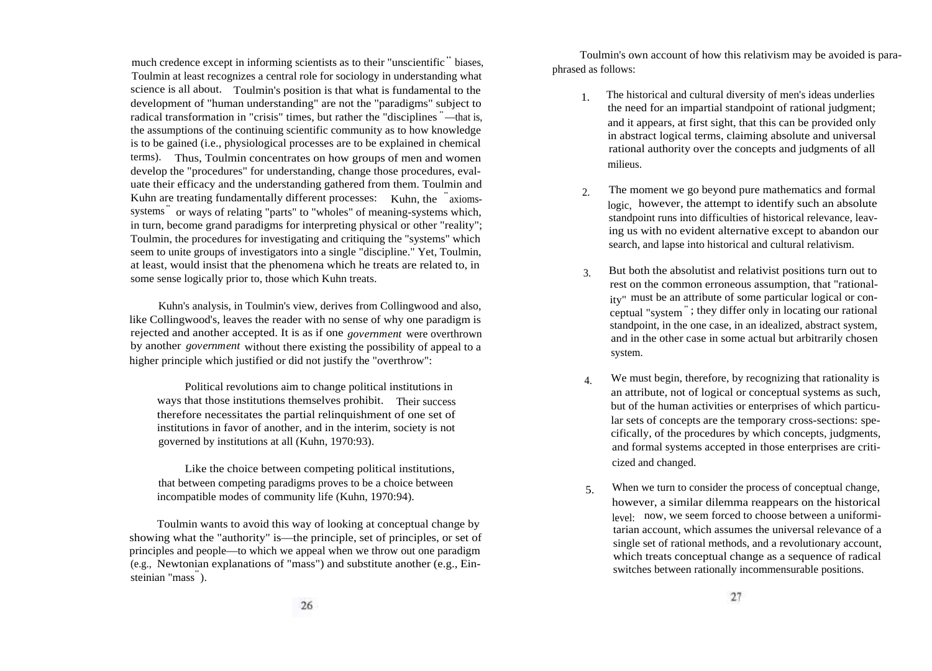much credence except in informing scientists as to their "unscientific" biases, Toulmin at least recognizes a central role for sociology in understanding what science is all about. Toulmin's position is that what is fundamental to the development of "human understanding" are not the "paradigms" subject to radical transformation in "crisis" times, but rather the "disciplines "—that is, the assumptions of the continuing scientific community as to how knowledge is to be gained (i.e., physiological processes are to be explained in chemical terms). Thus, Toulmin concentrates on how groups of men and women develop the "procedures" for understanding, change those procedures, evaluate their efficacy and the understanding gathered from them. Toulmin and Kuhn are treating fundamentally different processes: Kuhn, the "axiomssystems" or ways of relating "parts" to "wholes" of meaning-systems which, in turn, become grand paradigms for interpreting physical or other "reality"; Toulmin, the procedures for investigating and critiquing the "systems" which seem to unite groups of investigators into a single "discipline." Yet, Toulmin, at least, would insist that the phenomena which he treats are related to, in some sense logically prior to, those which Kuhn treats.

Kuhn's analysis, in Toulmin's view, derives from Collingwood and also, like Collingwood's, leaves the reader with no sense of why one paradigm is rejected and another accepted. It is as if one *government* were overthrown by another *government* without there existing the possibility of appeal to a higher principle which justified or did not justify the "overthrow":

Political revolutions aim to change political institutions in ways that those institutions themselves prohibit. Their success therefore necessitates the partial relinquishment of one set of institutions in favor of another, and in the interim, society is not governed by institutions at all (Kuhn, 1970:93).

Like the choice between competing political institutions, that between competing paradigms proves to be a choice between incompatible modes of community life (Kuhn, 1970:94).

Toulmin wants to avoid this way of looking at conceptual change by showing what the "authority" is—the principle, set of principles, or set of principles and people—to which we appeal when we throw out one paradigm (e.g., Newtonian explanations of "mass") and substitute another (e.g., Einsteinian "mass").

Toulmin's own account of how this relativism may be avoided is paraphrased as follows:

- 1. The historical and cultural diversity of men's ideas underlies the need for an impartial standpoint of rational judgment; and it appears, at first sight, that this can be provided only in abstract logical terms, claiming absolute and universal rational authority over the concepts and judgments of all milieus.
- 2. The moment we go beyond pure mathematics and formal logic, however, the attempt to identify such an absolute standpoint runs into difficulties of historical relevance, leaving us with no evident alternative except to abandon our search, and lapse into historical and cultural relativism.
- 3. But both the absolutist and relativist positions turn out to rest on the common erroneous assumption, that "rationality" must be an attribute of some particular logical or conceptual "system" ; they differ only in locating our rational standpoint, in the one case, in an idealized, abstract system, and in the other case in some actual but arbitrarily chosen system.
- 4. We must begin, therefore, by recognizing that rationality is an attribute, not of logical or conceptual systems as such, but of the human activities or enterprises of which particular sets of concepts are the temporary cross-sections: specifically, of the procedures by which concepts, judgments, and formal systems accepted in those enterprises are criticized and changed.
- 5. When we turn to consider the process of conceptual change, however, a similar dilemma reappears on the historical level: now, we seem forced to choose between a uniformitarian account, which assumes the universal relevance of a single set of rational methods, and a revolutionary account, which treats conceptual change as a sequence of radical switches between rationally incommensurable positions.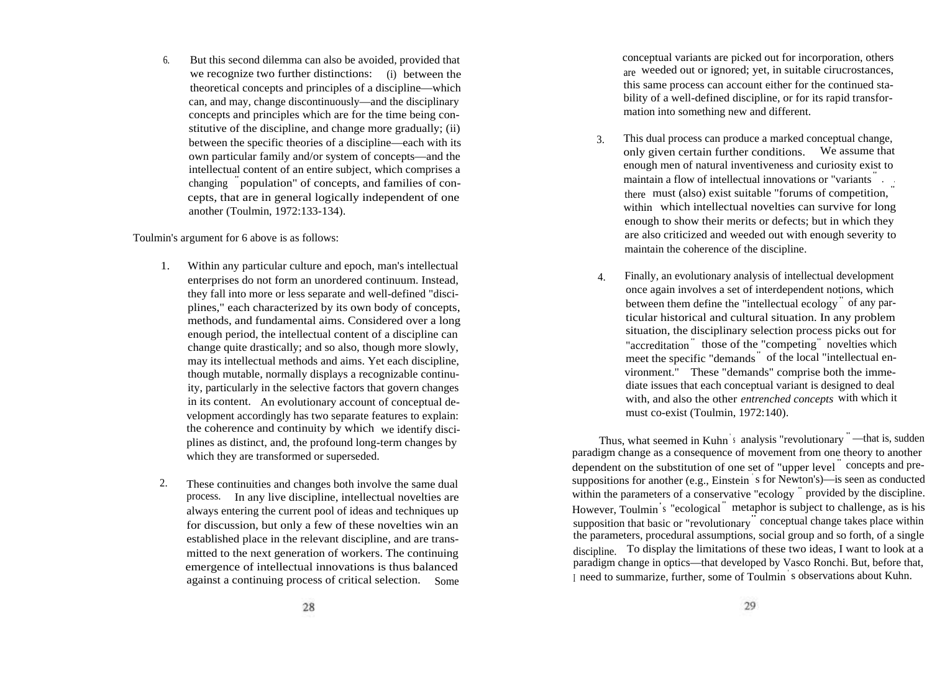6. But this second dilemma can also be avoided, provided that we recognize two further distinctions: (i) between the theoretical concepts and principles of a discipline—which can, and may, change discontinuously—and the disciplinary concepts and principles which are for the time being constitutive of the discipline, and change more gradually; (ii) between the specific theories of a discipline—each with its own particular family and/or system of concepts—and the intellectual content of an entire subject, which comprises a changing " population" of concepts, and families of concepts, that are in general logically independent of one another (Toulmin, 1972:133-134).

Toulmin's argument for 6 above is as follows:

- 1. Within any particular culture and epoch, man's intellectual enterprises do not form an unordered continuum. Instead, they fall into more or less separate and well-defined "disciplines," each characterized by its own body of concepts, methods, and fundamental aims. Considered over a long enough period, the intellectual content of a discipline can change quite drastically; and so also, though more slowly, may its intellectual methods and aims. Yet each discipline, though mutable, normally displays a recognizable continuity, particularly in the selective factors that govern changes in its content. An evolutionary account of conceptual development accordingly has two separate features to explain: the coherence and continuity by which we identify disciplines as distinct, and, the profound long-term changes by which they are transformed or superseded.
- 2. These continuities and changes both involve the same dual process. In any live discipline, intellectual novelties are always entering the current pool of ideas and techniques up for discussion, but only a few of these novelties win an established place in the relevant discipline, and are transmitted to the next generation of workers. The continuing emergence of intellectual innovations is thus balanced against a continuing process of critical selection. Some

conceptual variants are picked out for incorporation, others are weeded out or ignored; yet, in suitable cirucrostances, this same process can account either for the continued stability of a well-defined discipline, or for its rapid transformation into something new and different.

- 3. This dual process can produce a marked conceptual change, only given certain further conditions. We assume that enough men of natural inventiveness and curiosity exist to maintain a flow of intellectual innovations or "variants " . . there must (also) exist suitable "forums of competition, within which intellectual novelties can survive for long enough to show their merits or defects; but in which they are also criticized and weeded out with enough severity to maintain the coherence of the discipline.
- 4. Finally, an evolutionary analysis of intellectual development once again involves a set of interdependent notions, which between them define the "intellectual ecology" of any particular historical and cultural situation. In any problem situation, the disciplinary selection process picks out for "accreditation<sup>"</sup> those of the "competing" novelties which meet the specific "demands " of the local "intellectual environment." These "demands" comprise both the immediate issues that each conceptual variant is designed to deal with, and also the other *entrenched concepts* with which it must co-exist (Toulmin, 1972:140).

Thus, what seemed in Kuhn s analysis "revolutionary" — that is, sudden paradigm change as a consequence of movement from one theory to another dependent on the substitution of one set of "upper level " concepts and presuppositions for another (e.g., Einstein ' s for Newton's)—is seen as conducted within the parameters of a conservative "ecology " provided by the discipline. However, Toulmin' <sup>s</sup> "ecological " metaphor is subject to challenge, as is his supposition that basic or "revolutionary" conceptual change takes place within the parameters, procedural assumptions, social group and so forth, of a single discipline. To display the limitations of these two ideas, I want to look at a paradigm change in optics—that developed by Vasco Ronchi. But, before that, <sup>I</sup> need to summarize, further, some of Toulmin ' s observations about Kuhn.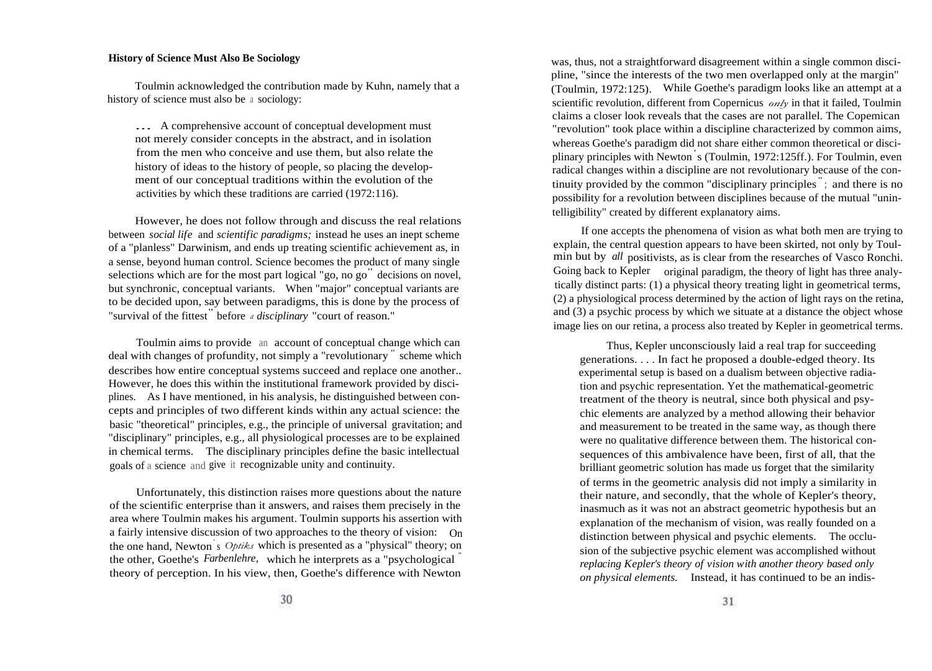# **History of Science Must Also Be Sociology**

Toulmin acknowledged the contribution made by Kuhn, namely that a history of science must also be <sup>a</sup> sociology:

... A comprehensive account of conceptual development must not merely consider concepts in the abstract, and in isolation from the men who conceive and use them, but also relate the history of ideas to the history of people, so placing the development of our conceptual traditions within the evolution of the activities by which these traditions are carried (1972:116).

However, he does not follow through and discuss the real relations between *social life* and *scientific paradigms;* instead he uses an inept scheme of a "planless" Darwinism, and ends up treating scientific achievement as, in a sense, beyond human control. Science becomes the product of many single selections which are for the most part logical "go, no go" decisions on novel, but synchronic, conceptual variants. When "major" conceptual variants are to be decided upon, say between paradigms, this is done by the process of "survival of the fittest" before *a disciplinary* "court of reason."

Toulmin aims to provide an account of conceptual change which can deal with changes of profundity, not simply a "revolutionary " scheme which describes how entire conceptual systems succeed and replace one another.. However, he does this within the institutional framework provided by disciplines. As I have mentioned, in his analysis, he distinguished between concepts and principles of two different kinds within any actual science: the basic "theoretical" principles, e.g., the principle of universal gravitation; and "disciplinary" principles, e.g., all physiological processes are to be explained in chemical terms. The disciplinary principles define the basic intellectual goals of a science and give it recognizable unity and continuity.

Unfortunately, this distinction raises more questions about the nature of the scientific enterprise than it answers, and raises them precisely in the area where Toulmin makes his argument. Toulmin supports his assertion with a fairly intensive discussion of two approaches to the theory of vision: On the one hand, Newton ' <sup>s</sup> *Optiks* which is presented as a "physical" theory; on the other, Goethe's *Farbenlehre,* which he interprets as a "psychological " theory of perception. In his view, then, Goethe's difference with Newton

was, thus, not a straightforward disagreement within a single common discipline, "since the interests of the two men overlapped only at the margin" (Toulmin, 1972:125). While Goethe's paradigm looks like an attempt at a scientific revolution, different from Copernicus *only* in that it failed, Toulmin claims a closer look reveals that the cases are not parallel. The Copemican "revolution" took place within a discipline characterized by common aims, whereas Goethe's paradigm did not share either common theoretical or disciplinary principles with Newton ' s (Toulmin, 1972:125ff.). For Toulmin, even radical changes within a discipline are not revolutionary because of the continuity provided by the common "disciplinary principles " ; and there is no possibility for a revolution between disciplines because of the mutual "unintelligibility" created by different explanatory aims.

If one accepts the phenomena of vision as what both men are trying to explain, the central question appears to have been skirted, not only by Toulmin but by *all* positivists, as is clear from the researches of Vasco Ronchi. Going back to Kepler original paradigm, the theory of light has three analytically distinct parts: (1) a physical theory treating light in geometrical terms, (2) a physiological process determined by the action of light rays on the retina, and (3) a psychic process by which we situate at a distance the object whose image lies on our retina, a process also treated by Kepler in geometrical terms.

Thus, Kepler unconsciously laid a real trap for succeeding generations. . . . In fact he proposed a double-edged theory. Its experimental setup is based on a dualism between objective radiation and psychic representation. Yet the mathematical-geometric treatment of the theory is neutral, since both physical and psychic elements are analyzed by a method allowing their behavior and measurement to be treated in the same way, as though there were no qualitative difference between them. The historical consequences of this ambivalence have been, first of all, that the brilliant geometric solution has made us forget that the similarity of terms in the geometric analysis did not imply a similarity in their nature, and secondly, that the whole of Kepler's theory, inasmuch as it was not an abstract geometric hypothesis but an explanation of the mechanism of vision, was really founded on a distinction between physical and psychic elements. The occlusion of the subjective psychic element was accomplished without *replacing Kepler's theory of vision with another theory based only on physical elements.* Instead, it has continued to be an indis-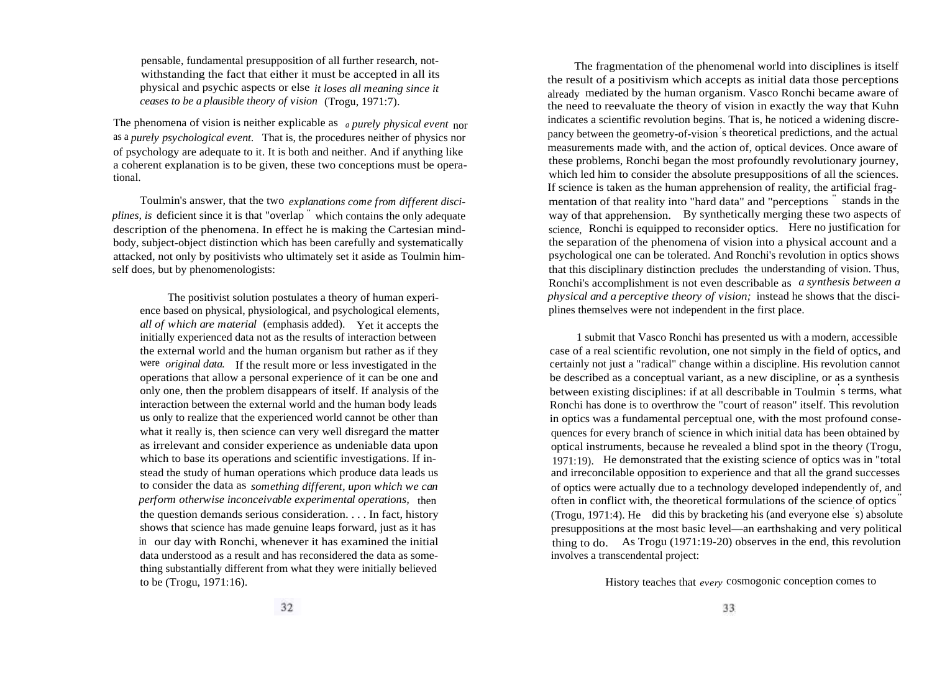pensable, fundamental presupposition of all further research, notwithstanding the fact that either it must be accepted in all its physical and psychic aspects or else *it loses all meaning since it ceases to be a plausible theory of vision* (Trogu, 1971:7).

The phenomena of vision is neither explicable as *<sup>a</sup> purely physical event* nor as a *purely psychological event.* That is, the procedures neither of physics nor of psychology are adequate to it. It is both and neither. And if anything like a coherent explanation is to be given, these two conceptions must be operational.

Toulmin's answer, that the two *explanations come from different disciplines, is* deficient since it is that "overlap " which contains the only adequate description of the phenomena. In effect he is making the Cartesian mindbody, subject-object distinction which has been carefully and systematically attacked, not only by positivists who ultimately set it aside as Toulmin himself does, but by phenomenologists:

The positivist solution postulates a theory of human experience based on physical, physiological, and psychological elements, *all of which are material* (emphasis added). Yet it accepts the initially experienced data not as the results of interaction between the external world and the human organism but rather as if they were *original data.* If the result more or less investigated in the operations that allow a personal experience of it can be one and only one, then the problem disappears of itself. If analysis of the interaction between the external world and the human body leads us only to realize that the experienced world cannot be other than what it really is, then science can very well disregard the matter as irrelevant and consider experience as undeniable data upon which to base its operations and scientific investigations. If instead the study of human operations which produce data leads us to consider the data as *something different, upon which we can perform otherwise inconceivable experimental operations,* then the question demands serious consideration. . . . In fact, history shows that science has made genuine leaps forward, just as it has in our day with Ronchi, whenever it has examined the initial data understood as a result and has reconsidered the data as something substantially different from what they were initially believed to be (Trogu, 1971:16).

The fragmentation of the phenomenal world into disciplines is itself the result of a positivism which accepts as initial data those perceptions already mediated by the human organism. Vasco Ronchi became aware of the need to reevaluate the theory of vision in exactly the way that Kuhn indicates a scientific revolution begins. That is, he noticed a widening discrepancy between the geometry-of-vision ' s theoretical predictions, and the actual measurements made with, and the action of, optical devices. Once aware of these problems, Ronchi began the most profoundly revolutionary journey, which led him to consider the absolute presuppositions of all the sciences. If science is taken as the human apprehension of reality, the artificial fragmentation of that reality into "hard data" and "perceptions " stands in the way of that apprehension. By synthetically merging these two aspects of science, Ronchi is equipped to reconsider optics. Here no justification for the separation of the phenomena of vision into a physical account and a psychological one can be tolerated. And Ronchi's revolution in optics shows that this disciplinary distinction precludes the understanding of vision. Thus, Ronchi's accomplishment is not even describable as *a synthesis between a physical and a perceptive theory of vision;* instead he shows that the disciplines themselves were not independent in the first place.

1 submit that Vasco Ronchi has presented us with a modern, accessible case of a real scientific revolution, one not simply in the field of optics, and certainly not just a "radical" change within a discipline. His revolution cannot be described as a conceptual variant, as a new discipline, or as a synthesis between existing disciplines: if at all describable in Toulmin s terms, what Ronchi has done is to overthrow the "court of reason" itself. This revolution in optics was a fundamental perceptual one, with the most profound consequences for every branch of science in which initial data has been obtained by optical instruments, because he revealed a blind spot in the theory (Trogu, 1971:19). He demonstrated that the existing science of optics was in "total and irreconcilable opposition to experience and that all the grand successes of optics were actually due to a technology developed independently of, and often in conflict with, the theoretical formulations of the science of optics " (Trogu, 1971:4). He did this by bracketing his (and everyone else ' s) absolute presuppositions at the most basic level—an earthshaking and very political thing to do. As Trogu (1971:19-20) observes in the end, this revolution involves a transcendental project:

History teaches that *every* cosmogonic conception comes to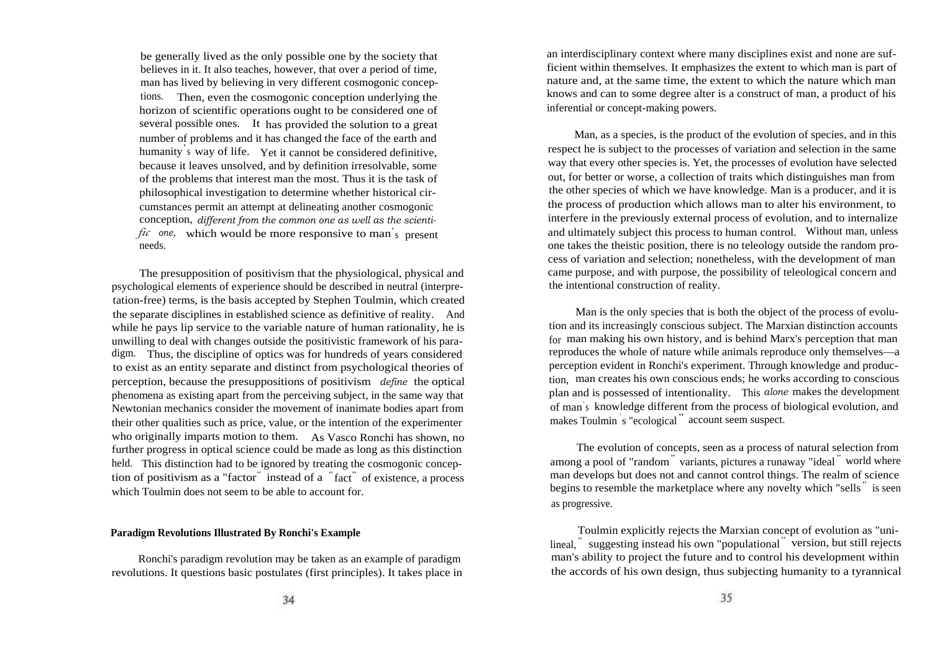be generally lived as the only possible one by the society that believes in it. It also teaches, however, that over a period of time, man has lived by believing in very different cosmogonic conceptions. Then, even the cosmogonic conception underlying the horizon of scientific operations ought to be considered one of several possible ones. It has provided the solution to a great number of problems and it has changed the face of the earth and humanity' <sup>s</sup> way of life. Yet it cannot be considered definitive, because it leaves unsolved, and by definition irresolvable, some of the problems that interest man the most. Thus it is the task of philosophical investigation to determine whether historical circumstances permit an attempt at delineating another cosmogonic conception, *different from the common one as well as the scienti*fic one, which would be more responsive to man's present needs.

The presupposition of positivism that the physiological, physical and psychological elements of experience should be described in neutral (interpretation-free) terms, is the basis accepted by Stephen Toulmin, which created the separate disciplines in established science as definitive of reality. And while he pays lip service to the variable nature of human rationality, he is unwilling to deal with changes outside the positivistic framework of his paradigm. Thus, the discipline of optics was for hundreds of years considered to exist as an entity separate and distinct from psychological theories of perception, because the presuppositions of positivism *define* the optical phenomena as existing apart from the perceiving subject, in the same way that Newtonian mechanics consider the movement of inanimate bodies apart from their other qualities such as price, value, or the intention of the experimenter who originally imparts motion to them. As Vasco Ronchi has shown, no further progress in optical science could be made as long as this distinction held. This distinction had to be ignored by treating the cosmogonic conception of positivism as a "factor" instead of a " fact" of existence, a process which Toulmin does not seem to be able to account for.

#### **Paradigm Revolutions Illustrated By Ronchi's Example**

Ronchi's paradigm revolution may be taken as an example of paradigm revolutions. It questions basic postulates (first principles). It takes place in an interdisciplinary context where many disciplines exist and none are sufficient within themselves. It emphasizes the extent to which man is part of nature and, at the same time, the extent to which the nature which man knows and can to some degree alter is a construct of man, a product of his inferential or concept-making powers.

Man, as a species, is the product of the evolution of species, and in this respect he is subject to the processes of variation and selection in the same way that every other species is. Yet, the processes of evolution have selected out, for better or worse, a collection of traits which distinguishes man from the other species of which we have knowledge. Man is a producer, and it is the process of production which allows man to alter his environment, to interfere in the previously external process of evolution, and to internalize and ultimately subject this process to human control. Without man, unless one takes the theistic position, there is no teleology outside the random process of variation and selection; nonetheless, with the development of man came purpose, and with purpose, the possibility of teleological concern and the intentional construction of reality.

Man is the only species that is both the object of the process of evolution and its increasingly conscious subject. The Marxian distinction accounts for man making his own history, and is behind Marx's perception that man reproduces the whole of nature while animals reproduce only themselves—a perception evident in Ronchi's experiment. Through knowledge and production, man creates his own conscious ends; he works according to conscious plan and is possessed of intentionality. This *alone* makes the development of man' s knowledge different from the process of biological evolution, and makes Toulmin ' s "ecological " account seem suspect.

The evolution of concepts, seen as a process of natural selection from among a pool of "random" variants, pictures a runaway "ideal " world where man develops but does not and cannot control things. The realm of science begins to resemble the marketplace where any novelty which "sells " is seen as progressive.

Toulmin explicitly rejects the Marxian concept of evolution as "unilineal, " suggesting instead his own "populational " version, but still rejects man's ability to project the future and to control his development within the accords of his own design, thus subjecting humanity to a tyrannical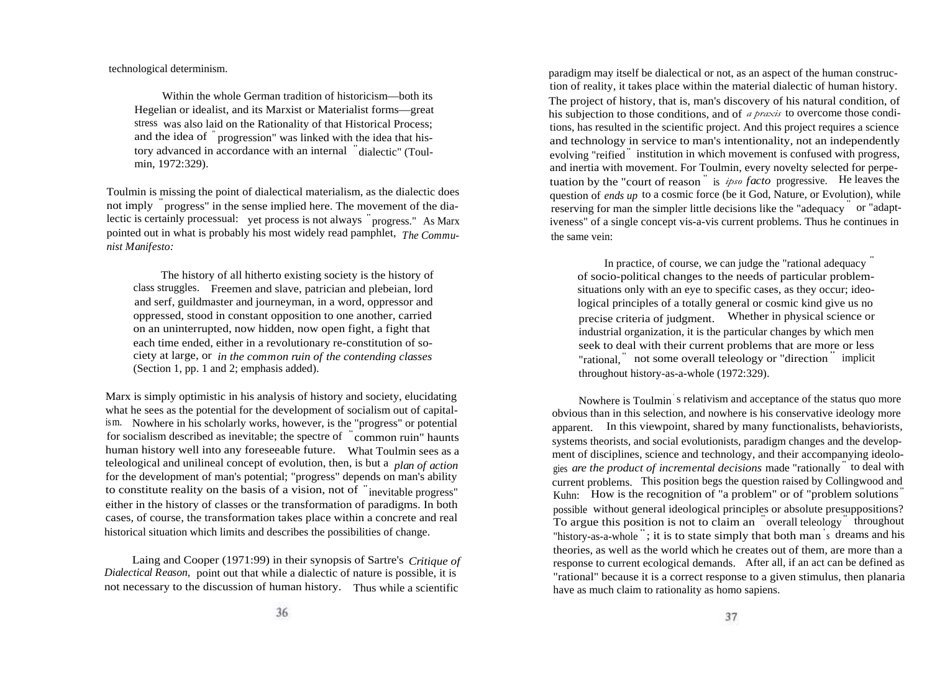technological determinism.

Within the whole German tradition of historicism—both its Hegelian or idealist, and its Marxist or Materialist forms—great stress was also laid on the Rationality of that Historical Process; and the idea of " progression" was linked with the idea that history advanced in accordance with an internal " dialectic" (Toulmin, 1972:329).

Toulmin is missing the point of dialectical materialism, as the dialectic does not imply " progress" in the sense implied here. The movement of the dialectic is certainly processual: yet process is not always " progress." As Marx pointed out in what is probably his most widely read pamphlet, *The Communist Manifesto:*

The history of all hitherto existing society is the history of class struggles. Freemen and slave, patrician and plebeian, lord and serf, guildmaster and journeyman, in a word, oppressor and oppressed, stood in constant opposition to one another, carried on an uninterrupted, now hidden, now open fight, a fight that each time ended, either in a revolutionary re-constitution of society at large, or *in the common ruin of the contending classes* (Section 1, pp. 1 and 2; emphasis added).

Marx is simply optimistic in his analysis of history and society, elucidating what he sees as the potential for the development of socialism out of capitalism. Nowhere in his scholarly works, however, is the "progress" or potential for socialism described as inevitable; the spectre of " common ruin" haunts human history well into any foreseeable future. What Toulmin sees as a teleological and unilineal concept of evolution, then, is but a *plan of action* for the development of man's potential; "progress" depends on man's ability to constitute reality on the basis of a vision, not of " inevitable progress" either in the history of classes or the transformation of paradigms. In both cases, of course, the transformation takes place within a concrete and real historical situation which limits and describes the possibilities of change.

Laing and Cooper (1971:99) in their synopsis of Sartre's *Critique of Dialectical Reason,* point out that while a dialectic of nature is possible, it is not necessary to the discussion of human history. Thus while a scientific

paradigm may itself be dialectical or not, as an aspect of the human construction of reality, it takes place within the material dialectic of human history. The project of history, that is, man's discovery of his natural condition, of his subjection to those conditions, and of *a praxis* to overcome those conditions, has resulted in the scientific project. And this project requires a science and technology in service to man's intentionality, not an independently evolving "reified" institution in which movement is confused with progress, and inertia with movement. For Toulmin, every novelty selected for perpetuation by the "court of reason " is *ipso facto* progressive. He leaves the question of *ends up* to a cosmic force (be it God, Nature, or Evolution), while reserving for man the simpler little decisions like the "adequacy" or "adaptiveness" of a single concept vis-a-vis current problems. Thus he continues in the same vein:

In practice, of course, we can judge the "rational adequacy" of socio-political changes to the needs of particular problemsituations only with an eye to specific cases, as they occur; ideological principles of a totally general or cosmic kind give us no precise criteria of judgment. Whether in physical science or industrial organization, it is the particular changes by which men seek to deal with their current problems that are more or less seck to dear with their eurient problems that are more or less<br>"rational," not some overall teleology or "direction" implicit throughout history-as-a-whole (1972:329).

Nowhere is Toulmin s relativism and acceptance of the status quo more obvious than in this selection, and nowhere is his conservative ideology more apparent. In this viewpoint, shared by many functionalists, behaviorists, systems theorists, and social evolutionists, paradigm changes and the development of disciplines, science and technology, and their accompanying ideologies *are the product of incremental decisions* made "rationally " to deal with current problems. This position begs the question raised by Collingwood and Kuhn: How is the recognition of "a problem" or of "problem solutions" possible without general ideological principles or absolute presuppositions? To argue this position is not to claim an " overall teleology" throughout "history-as-a-whole " ; it is to state simply that both man ' s dreams and his theories, as well as the world which he creates out of them, are more than a response to current ecological demands. After all, if an act can be defined as "rational" because it is a correct response to a given stimulus, then planaria have as much claim to rationality as homo sapiens.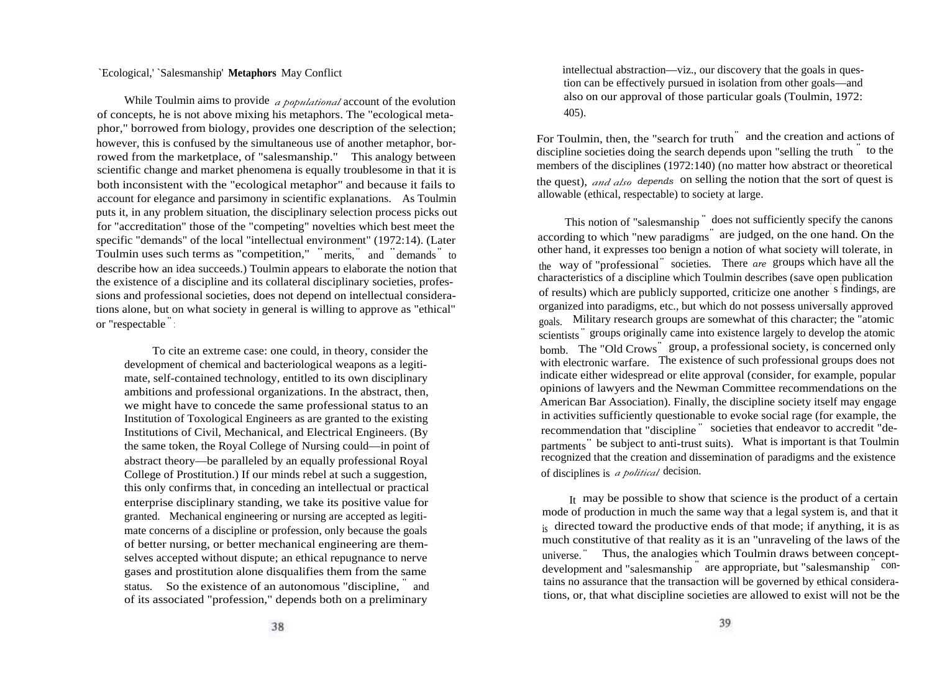# `Ecological,' `Salesmanship' **Metaphors** May Conflict

While Toulmin aims to provide *a populational* account of the evolution of concepts, he is not above mixing his metaphors. The "ecological metaphor," borrowed from biology, provides one description of the selection; however, this is confused by the simultaneous use of another metaphor, borrowed from the marketplace, of "salesmanship." This analogy between scientific change and market phenomena is equally troublesome in that it is both inconsistent with the "ecological metaphor" and because it fails to account for elegance and parsimony in scientific explanations. As Toulmin puts it, in any problem situation, the disciplinary selection process picks out for "accreditation" those of the "competing" novelties which best meet the specific "demands" of the local "intellectual environment" (1972:14). (Later Toulmin uses such terms as "competition," "merits," and "demands" to describe how an idea succeeds.) Toulmin appears to elaborate the notion that the existence of a discipline and its collateral disciplinary societies, professions and professional societies, does not depend on intellectual considerations alone, but on what society in general is willing to approve as "ethical" or "respectable " :

To cite an extreme case: one could, in theory, consider the development of chemical and bacteriological weapons as a legitimate, self-contained technology, entitled to its own disciplinary ambitions and professional organizations. In the abstract, then, we might have to concede the same professional status to an Institution of Toxological Engineers as are granted to the existing Institutions of Civil, Mechanical, and Electrical Engineers. (By the same token, the Royal College of Nursing could—in point of abstract theory—be paralleled by an equally professional Royal College of Prostitution.) If our minds rebel at such a suggestion, this only confirms that, in conceding an intellectual or practical enterprise disciplinary standing, we take its positive value for granted. Mechanical engineering or nursing are accepted as legitimate concerns of a discipline or profession, only because the goals of better nursing, or better mechanical engineering are themselves accepted without dispute; an ethical repugnance to nerve gases and prostitution alone disqualifies them from the same status. So the existence of an autonomous "discipline," and of its associated "profession," depends both on a preliminary

intellectual abstraction—viz., our discovery that the goals in question can be effectively pursued in isolation from other goals—and also on our approval of those particular goals (Toulmin, 1972: 405).

For Toulmin, then, the "search for truth<sup>"</sup> and the creation and actions of discipline societies doing the search depends upon "selling the truth " to the members of the disciplines (1972:140) (no matter how abstract or theoretical the quest), *and also depends* on selling the notion that the sort of quest is allowable (ethical, respectable) to society at large.

This notion of "salesmanship" does not sufficiently specify the canons according to which "new paradigms" are judged, on the one hand. On the other hand, it expresses too benign a notion of what society will tolerate, in the way of "professional" societies. There *are* groups which have all the characteristics of a discipline which Toulmin describes (save open publication of results) which are publicly supported, criticize one another s findings, are organized into paradigms, etc., but which do not possess universally approved goals. Military research groups are somewhat of this character; the "atomic scientists " groups originally came into existence largely to develop the atomic bomb. The "Old Crows" group, a professional society, is concerned only with electronic warfare. The existence of such professional groups does not indicate either widespread or elite approval (consider, for example, popular opinions of lawyers and the Newman Committee recommendations on the American Bar Association). Finally, the discipline society itself may engage in activities sufficiently questionable to evoke social rage (for example, the recommendation that "discipline " societies that endeavor to accredit "departments" be subject to anti-trust suits). What is important is that Toulmin recognized that the creation and dissemination of paradigms and the existence of disciplines is *a political* decision.

It may be possible to show that science is the product of a certain mode of production in much the same way that a legal system is, and that it is directed toward the productive ends of that mode; if anything, it is as much constitutive of that reality as it is an "unraveling of the laws of the universe. " Thus, the analogies which Toulmin draws between conceptdevelopment and "salesmanship" are appropriate, but "salesmanship" contains no assurance that the transaction will be governed by ethical considerations, or, that what discipline societies are allowed to exist will not be the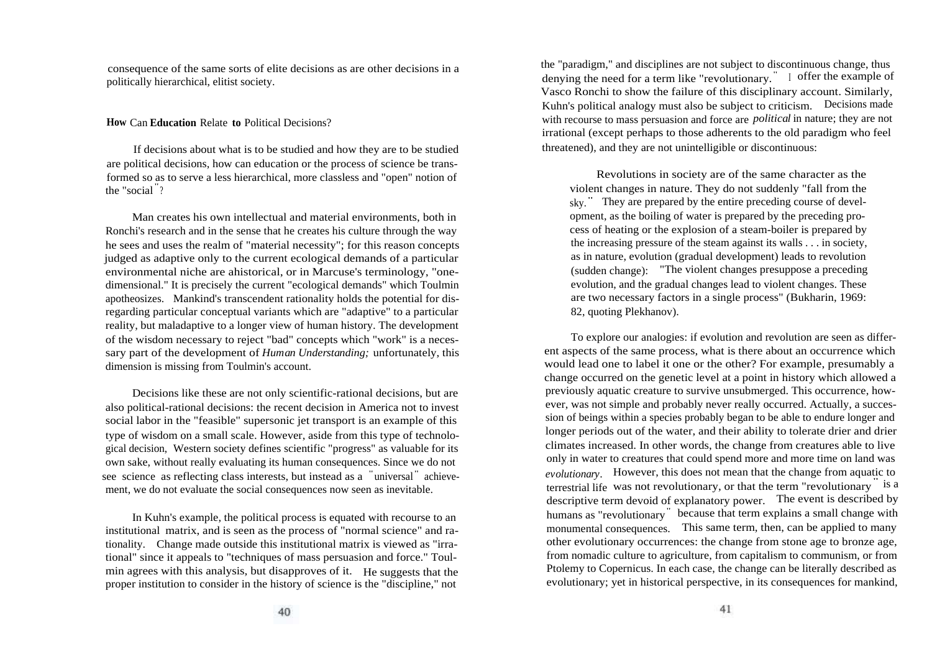consequence of the same sorts of elite decisions as are other decisions in a politically hierarchical, elitist society.

#### **How** Can **Education** Relate **to** Political Decisions?

If decisions about what is to be studied and how they are to be studied are political decisions, how can education or the process of science be transformed so as to serve a less hierarchical, more classless and "open" notion of the "social " ?

Man creates his own intellectual and material environments, both in Ronchi's research and in the sense that he creates his culture through the way he sees and uses the realm of "material necessity"; for this reason concepts judged as adaptive only to the current ecological demands of a particular environmental niche are ahistorical, or in Marcuse's terminology, "onedimensional." It is precisely the current "ecological demands" which Toulmin apotheosizes. Mankind's transcendent rationality holds the potential for disregarding particular conceptual variants which are "adaptive" to a particular reality, but maladaptive to a longer view of human history. The development of the wisdom necessary to reject "bad" concepts which "work" is a necessary part of the development of *Human Understanding;* unfortunately, this dimension is missing from Toulmin's account.

Decisions like these are not only scientific-rational decisions, but are also political-rational decisions: the recent decision in America not to invest social labor in the "feasible" supersonic jet transport is an example of this type of wisdom on a small scale. However, aside from this type of technological decision, Western society defines scientific "progress" as valuable for its own sake, without really evaluating its human consequences. Since we do not see science as reflecting class interests, but instead as a "universal" achievement, we do not evaluate the social consequences now seen as inevitable.

In Kuhn's example, the political process is equated with recourse to an institutional matrix, and is seen as the process of "normal science" and rationality. Change made outside this institutional matrix is viewed as "irrational" since it appeals to "techniques of mass persuasion and force." Toulmin agrees with this analysis, but disapproves of it. He suggests that the proper institution to consider in the history of science is the "discipline," not

the "paradigm," and disciplines are not subject to discontinuous change, thus denying the need for a term like "revolutionary."  $\Box$  offer the example of Vasco Ronchi to show the failure of this disciplinary account. Similarly, Kuhn's political analogy must also be subject to criticism. Decisions made with recourse to mass persuasion and force are *political* in nature; they are not irrational (except perhaps to those adherents to the old paradigm who feel threatened), and they are not unintelligible or discontinuous:

Revolutions in society are of the same character as the violent changes in nature. They do not suddenly "fall from the sky." They are prepared by the entire preceding course of development, as the boiling of water is prepared by the preceding process of heating or the explosion of a steam-boiler is prepared by the increasing pressure of the steam against its walls . . . in society, as in nature, evolution (gradual development) leads to revolution (sudden change): "The violent changes presuppose a preceding evolution, and the gradual changes lead to violent changes. These are two necessary factors in a single process" (Bukharin, 1969: 82, quoting Plekhanov).

To explore our analogies: if evolution and revolution are seen as different aspects of the same process, what is there about an occurrence which would lead one to label it one or the other? For example, presumably a change occurred on the genetic level at a point in history which allowed a previously aquatic creature to survive unsubmerged. This occurrence, however, was not simple and probably never really occurred. Actually, a succession of beings within a species probably began to be able to endure longer and longer periods out of the water, and their ability to tolerate drier and drier climates increased. In other words, the change from creatures able to live only in water to creatures that could spend more and more time on land was *evolutionary.* However, this does not mean that the change from aquatic to evolutionary. Thowever, and does not mean that the enarge from aquatic to terrestrial life was not revolutionary, or that the term "revolutionary" is a descriptive term devoid of explanatory power. The event is described by humans as "revolutionary" because that term explains a small change with monumental consequences. This same term, then, can be applied to many other evolutionary occurrences: the change from stone age to bronze age, from nomadic culture to agriculture, from capitalism to communism, or from Ptolemy to Copernicus. In each case, the change can be literally described as evolutionary; yet in historical perspective, in its consequences for mankind,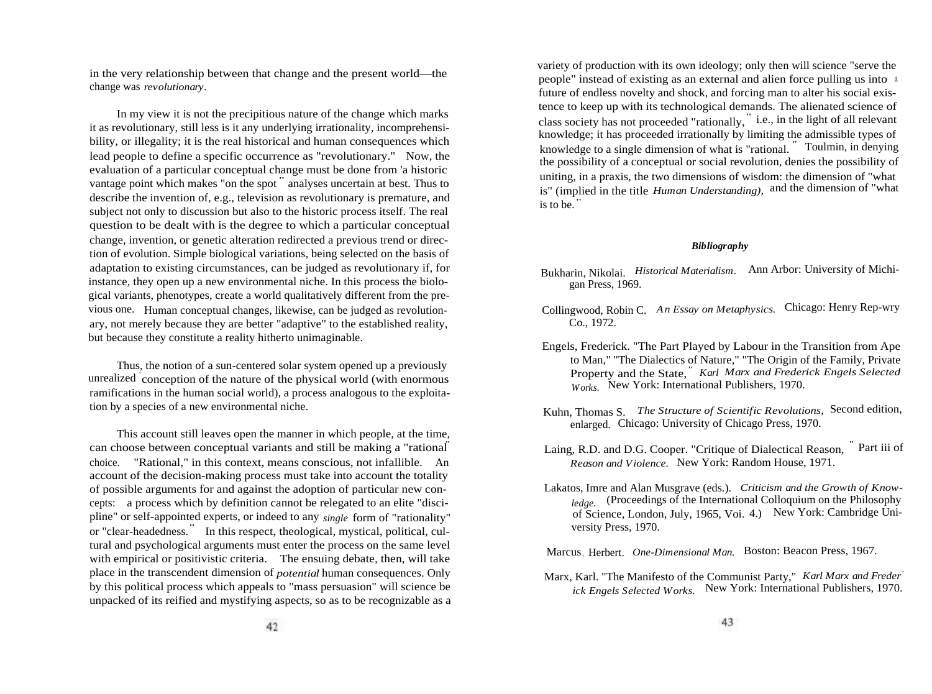in the very relationship between that change and the present world—the change was *revolutionary.*

In my view it is not the precipitious nature of the change which marks it as revolutionary, still less is it any underlying irrationality, incomprehensibility, or illegality; it is the real historical and human consequences which lead people to define a specific occurrence as "revolutionary." Now, the evaluation of a particular conceptual change must be done from 'a historic vantage point which makes "on the spot " analyses uncertain at best. Thus to describe the invention of, e.g., television as revolutionary is premature, and subject not only to discussion but also to the historic process itself. The real question to be dealt with is the degree to which a particular conceptual change, invention, or genetic alteration redirected a previous trend or direction of evolution. Simple biological variations, being selected on the basis of adaptation to existing circumstances, can be judged as revolutionary if, for instance, they open up a new environmental niche. In this process the biological variants, phenotypes, create a world qualitatively different from the previous one. Human conceptual changes, likewise, can be judged as revolutionary, not merely because they are better "adaptive" to the established reality, but because they constitute a reality hitherto unimaginable.

Thus, the notion of a sun-centered solar system opened up a previously unrealized ' conception of the nature of the physical world (with enormous ramifications in the human social world), a process analogous to the exploitation by a species of a new environmental niche.

This account still leaves open the manner in which people, at the time, can choose between conceptual variants and still be making a "rational" choice. "Rational," in this context, means conscious, not infallible. An account of the decision-making process must take into account the totality of possible arguments for and against the adoption of particular new concepts: a process which by definition cannot be relegated to an elite "discipline" or self-appointed experts, or indeed to any *single* form of "rationality" prince of sent appointed experts, or matted to any single from or fattonally<br>or "clear-headedness." In this respect, theological, mystical, political, cultural and psychological arguments must enter the process on the same level with empirical or positivistic criteria. The ensuing debate, then, will take place in the transcendent dimension of *potential* human consequences. Only by this political process which appeals to "mass persuasion" will science be unpacked of its reified and mystifying aspects, so as to be recognizable as a

variety of production with its own ideology; only then will science "serve the people" instead of existing as an external and alien force pulling us into <sup>a</sup> future of endless novelty and shock, and forcing man to alter his social existence to keep up with its technological demands. The alienated science of class society has not proceeded "rationally, " i.e., in the light of all relevant knowledge; it has proceeded irrationally by limiting the admissible types of knowledge to a single dimension of what is "rational. " Toulmin, in denying the possibility of a conceptual or social revolution, denies the possibility of uniting, in a praxis, the two dimensions of wisdom: the dimension of "what is" (implied in the title *Human Understanding),* and the dimension of "what is to be. "

#### *Bibliography*

- Bukharin, Nikolai. *Historical Materialism.* Ann Arbor: University of Michigan Press, 1969.
- Collingwood, Robin C. *An Essay on Metaphysics.* Chicago: Henry Rep-wry Co., 1972.
- Engels, Frederick. "The Part Played by Labour in the Transition from Ape to Man," "The Dialectics of Nature," "The Origin of the Family, Private Property and the State, " *Karl Marx and Frederick Engels Selected Works.* New York: International Publishers, 1970.
- Kuhn, Thomas S. *The Structure of Scientific Revolutions,* Second edition, enlarged. Chicago: University of Chicago Press, 1970.
- Laing, R.D. and D.G. Cooper. "Critique of Dialectical Reason, " Part iii of *Reason and Violence.* New York: Random House, 1971.
- Lakatos, Imre and Alan Musgrave (eds.). *Criticism and the Growth of Knowledge.* (Proceedings of the International Colloquium on the Philosophy of Science, London, July, 1965, Voi. 4.) New York: Cambridge University Press, 1970.

Marcus, Herbert. *One-Dimensional Man.* Boston: Beacon Press, 1967.

Marx, Karl. "The Manifesto of the Communist Party," *Karl Marx and Frederick Engels Selected Works.* New York: International Publishers, 1970.